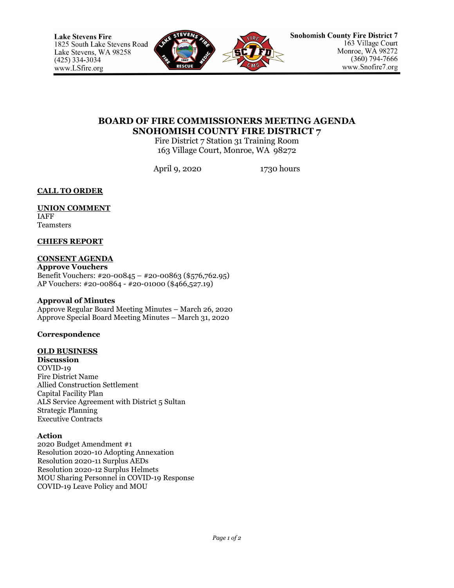

# **BOARD OF FIRE COMMISSIONERS MEETING AGENDA SNOHOMISH COUNTY FIRE DISTRICT 7**

Fire District 7 Station 31 Training Room 163 Village Court, Monroe, WA 98272

April 9, 2020 1730 hours

**CALL TO ORDER**

### **UNION COMMENT** IAFF

Teamsters

## **CHIEFS REPORT**

### **CONSENT AGENDA Approve Vouchers** Benefit Vouchers: #20-00845 – #20-00863 (\$576,762.95) AP Vouchers: #20-00864 - #20-01000 (\$466,527.19)

## **Approval of Minutes**

Approve Regular Board Meeting Minutes – March 26, 2020 Approve Special Board Meeting Minutes – March 31, 2020

## **Correspondence**

## **OLD BUSINESS**

**Discussion** COVID-19 Fire District Name Allied Construction Settlement Capital Facility Plan ALS Service Agreement with District 5 Sultan Strategic Planning Executive Contracts

## **Action**

2020 Budget Amendment #1 Resolution 2020-10 Adopting Annexation Resolution 2020-11 Surplus AEDs Resolution 2020-12 Surplus Helmets MOU Sharing Personnel in COVID-19 Response COVID-19 Leave Policy and MOU